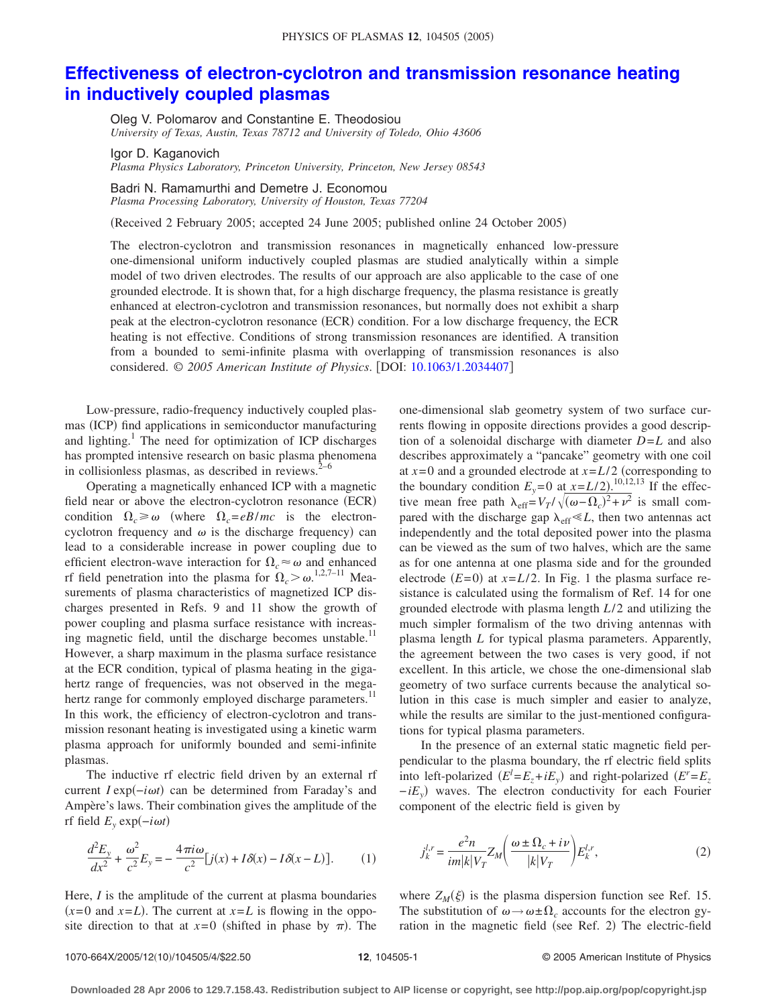## **[Effectiveness of electron-cyclotron and transmission resonance heating](http://dx.doi.org/10.1063/1.2034407) [in inductively coupled plasmas](http://dx.doi.org/10.1063/1.2034407)**

Oleg V. Polomarov and Constantine E. Theodosiou *University of Texas, Austin, Texas 78712 and University of Toledo, Ohio 43606*

Igor D. Kaganovich

*Plasma Physics Laboratory, Princeton University, Princeton, New Jersey 08543*

Badri N. Ramamurthi and Demetre J. Economou

*Plasma Processing Laboratory, University of Houston, Texas 77204*

Received 2 February 2005; accepted 24 June 2005; published online 24 October 2005-

The electron-cyclotron and transmission resonances in magnetically enhanced low-pressure one-dimensional uniform inductively coupled plasmas are studied analytically within a simple model of two driven electrodes. The results of our approach are also applicable to the case of one grounded electrode. It is shown that, for a high discharge frequency, the plasma resistance is greatly enhanced at electron-cyclotron and transmission resonances, but normally does not exhibit a sharp peak at the electron-cyclotron resonance (ECR) condition. For a low discharge frequency, the ECR heating is not effective. Conditions of strong transmission resonances are identified. A transition from a bounded to semi-infinite plasma with overlapping of transmission resonances is also considered. © 2005 American Institute of Physics. [DOI: [10.1063/1.2034407](http://dx.doi.org/10.1063/1.2034407)]

Low-pressure, radio-frequency inductively coupled plasmas (ICP) find applications in semiconductor manufacturing and lighting.<sup>1</sup> The need for optimization of ICP discharges has prompted intensive research on basic plasma phenomena in collisionless plasmas, as described in reviews. $2^{-6}$ 

Operating a magnetically enhanced ICP with a magnetic field near or above the electron-cyclotron resonance (ECR) condition  $\Omega_c \ge \omega$  (where  $\Omega_c = eB/mc$  is the electroncyclotron frequency and  $\omega$  is the discharge frequency) can lead to a considerable increase in power coupling due to efficient electron-wave interaction for  $\Omega_c \approx \omega$  and enhanced rf field penetration into the plasma for  $\Omega_c > \omega^{1,2,7-11}$  Measurements of plasma characteristics of magnetized ICP discharges presented in Refs. 9 and 11 show the growth of power coupling and plasma surface resistance with increasing magnetic field, until the discharge becomes unstable.<sup>11</sup> However, a sharp maximum in the plasma surface resistance at the ECR condition, typical of plasma heating in the gigahertz range of frequencies, was not observed in the megahertz range for commonly employed discharge parameters.<sup>11</sup> In this work, the efficiency of electron-cyclotron and transmission resonant heating is investigated using a kinetic warm plasma approach for uniformly bounded and semi-infinite plasmas.

The inductive rf electric field driven by an external rf current *I* exp(*-iωt*) can be determined from Faraday's and Ampère's laws. Their combination gives the amplitude of the  $r$ f field  $E_y$  exp $(-i\omega t)$ 

$$
\frac{d^2E_y}{dx^2} + \frac{\omega^2}{c^2}E_y = -\frac{4\pi i\omega}{c^2}[j(x) + I\delta(x) - I\delta(x - L)].\tag{1}
$$

Here, *I* is the amplitude of the current at plasma boundaries  $(x=0 \text{ and } x=L)$ . The current at  $x=L$  is flowing in the opposite direction to that at  $x=0$  (shifted in phase by  $\pi$ ). The

one-dimensional slab geometry system of two surface currents flowing in opposite directions provides a good description of a solenoidal discharge with diameter *D*=*L* and also describes approximately a "pancake" geometry with one coil at  $x=0$  and a grounded electrode at  $x=L/2$  (corresponding to the boundary condition  $E_y = 0$  at  $x = L/2$ .<sup>10,12,13</sup> If the effective mean free path  $\lambda_{eff} = V_T / \sqrt{(\omega - \Omega_c)^2 + \nu^2}$  is small compared with the discharge gap  $\lambda_{\text{eff}} \ll L$ , then two antennas act independently and the total deposited power into the plasma can be viewed as the sum of two halves, which are the same as for one antenna at one plasma side and for the grounded electrode  $(E=0)$  at  $x=L/2$ . In Fig. 1 the plasma surface resistance is calculated using the formalism of Ref. 14 for one grounded electrode with plasma length  $L/2$  and utilizing the much simpler formalism of the two driving antennas with plasma length *L* for typical plasma parameters. Apparently, the agreement between the two cases is very good, if not excellent. In this article, we chose the one-dimensional slab geometry of two surface currents because the analytical solution in this case is much simpler and easier to analyze, while the results are similar to the just-mentioned configurations for typical plasma parameters.

In the presence of an external static magnetic field perpendicular to the plasma boundary, the rf electric field splits into left-polarized  $(E^l = E_z + iE_y)$  and right-polarized  $(E^r = E_z$ −*iEy*- waves. The electron conductivity for each Fourier component of the electric field is given by

$$
j_k^{l,r} = \frac{e^2 n}{im|k|V_T} Z_M \bigg(\frac{\omega \pm \Omega_c + i\nu}{|k|V_T}\bigg) E_k^{l,r},\tag{2}
$$

where  $Z_M(\xi)$  is the plasma dispersion function see Ref. 15. The substitution of  $\omega \rightarrow \omega \pm \Omega_c$  accounts for the electron gyration in the magnetic field (see Ref. 2) The electric-field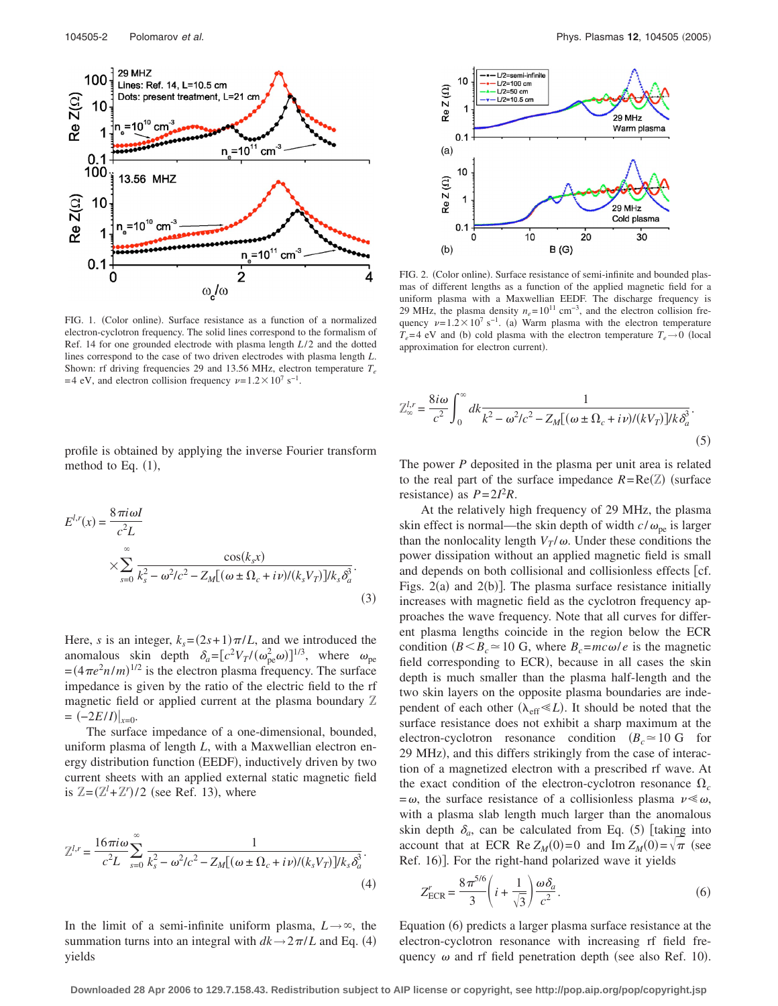

FIG. 1. (Color online). Surface resistance as a function of a normalized electron-cyclotron frequency. The solid lines correspond to the formalism of Ref. 14 for one grounded electrode with plasma length  $L/2$  and the dotted lines correspond to the case of two driven electrodes with plasma length *L*. Shown: rf driving frequencies 29 and 13.56 MHz, electron temperature  $T_e$ =4 eV, and electron collision frequency  $\nu = 1.2 \times 10^{7} \text{ s}^{-1}$ .

profile is obtained by applying the inverse Fourier transform method to Eq.  $(1)$ ,

$$
E^{l,r}(x) = \frac{8 \pi i \omega I}{c^2 L}
$$
  
 
$$
\times \sum_{s=0}^{\infty} \frac{\cos(k_s x)}{k_s^2 - \omega^2/c^2 - Z_M[(\omega \pm \Omega_c + i\nu)/(k_s V_T)]/k_s \delta_a^3}.
$$
  
(3)

Here, *s* is an integer,  $k_s = (2s + 1)\pi/L$ , and we introduced the anomalous skin depth  $\delta_a = [c^2 V_T / (\omega_{\text{pe}}^2 \omega)]^{1/3}$ , where  $\omega_{\text{pe}}$  $=(4\pi e^2 n/m)^{1/2}$  is the electron plasma frequency. The surface impedance is given by the ratio of the electric field to the rf magnetic field or applied current at the plasma boundary Z  $= (-2E/I)|_{x=0}.$ 

The surface impedance of a one-dimensional, bounded, uniform plasma of length *L*, with a Maxwellian electron energy distribution function (EEDF), inductively driven by two current sheets with an applied external static magnetic field is  $\mathbb{Z} = (\mathbb{Z}^l + \mathbb{Z}^r)/2$  (see Ref. 13), where

$$
\mathbb{Z}^{l,r} = \frac{16\pi i \omega}{c^2 L} \sum_{s=0}^{\infty} \frac{1}{k_s^2 - \omega^2/c^2 - Z_M[(\omega \pm \Omega_c + i\nu)/(k_s V_T)]/k_s \delta_a^3}.
$$
\n(4)

In the limit of a semi-infinite uniform plasma,  $L \rightarrow \infty$ , the summation turns into an integral with  $dk \rightarrow 2\pi/L$  and Eq. (4) yields



FIG. 2. (Color online). Surface resistance of semi-infinite and bounded plasmas of different lengths as a function of the applied magnetic field for a uniform plasma with a Maxwellian EEDF. The discharge frequency is 29 MHz, the plasma density  $n_e$ = 10<sup>11</sup> cm<sup>-3</sup>, and the electron collision frequency  $\nu = 1.2 \times 10^7 \text{ s}^{-1}$ . (a) Warm plasma with the electron temperature  $T_e$ =4 eV and (b) cold plasma with the electron temperature  $T_e \rightarrow 0$  (local approximation for electron current).

$$
Z_{\infty}^{l,r} = \frac{8i\omega}{c^2} \int_0^{\infty} dk \frac{1}{k^2 - \omega^2/c^2 - Z_M[(\omega \pm \Omega_c + i\nu)/(kV_T)]/k\delta_a^3}.
$$
\n(5)

The power *P* deposited in the plasma per unit area is related to the real part of the surface impedance  $R = \text{Re}(\mathbb{Z})$  (surface resistance) as  $P = 2I^2R$ .

At the relatively high frequency of 29 MHz, the plasma skin effect is normal—the skin depth of width  $c/\omega_{\text{ne}}$  is larger than the nonlocality length  $V_T/\omega$ . Under these conditions the power dissipation without an applied magnetic field is small and depends on both collisional and collisionless effects [cf. Figs.  $2(a)$  and  $2(b)$ ]. The plasma surface resistance initially increases with magnetic field as the cyclotron frequency approaches the wave frequency. Note that all curves for different plasma lengths coincide in the region below the ECR condition ( $B < B_c \approx 10$  G, where  $B_c = mc\omega/e$  is the magnetic field corresponding to ECR), because in all cases the skin depth is much smaller than the plasma half-length and the two skin layers on the opposite plasma boundaries are independent of each other  $(\lambda_{\text{eff}} \ll L)$ . It should be noted that the surface resistance does not exhibit a sharp maximum at the electron-cyclotron resonance condition  $(B_c \approx 10 \text{ G}$  for 29 MHz), and this differs strikingly from the case of interaction of a magnetized electron with a prescribed rf wave. At the exact condition of the electron-cyclotron resonance  $\Omega_c$  $=\omega$ , the surface resistance of a collisionless plasma  $\nu \ll \omega$ , with a plasma slab length much larger than the anomalous skin depth  $\delta_a$ , can be calculated from Eq. (5) [taking into account that at ECR Re  $Z_M(0)=0$  and Im  $Z_M(0)=\sqrt{\pi}$  (see Ref. 16)]. For the right-hand polarized wave it yields

$$
Z_{\text{ECR}}^r = \frac{8\,\pi^{5/6}}{3} \left( i + \frac{1}{\sqrt{3}} \right) \frac{\omega \delta_a}{c^2}.
$$
 (6)

Equation (6) predicts a larger plasma surface resistance at the electron-cyclotron resonance with increasing rf field frequency  $\omega$  and rf field penetration depth (see also Ref. 10).

**Downloaded 28 Apr 2006 to 129.7.158.43. Redistribution subject to AIP license or copyright, see http://pop.aip.org/pop/copyright.jsp**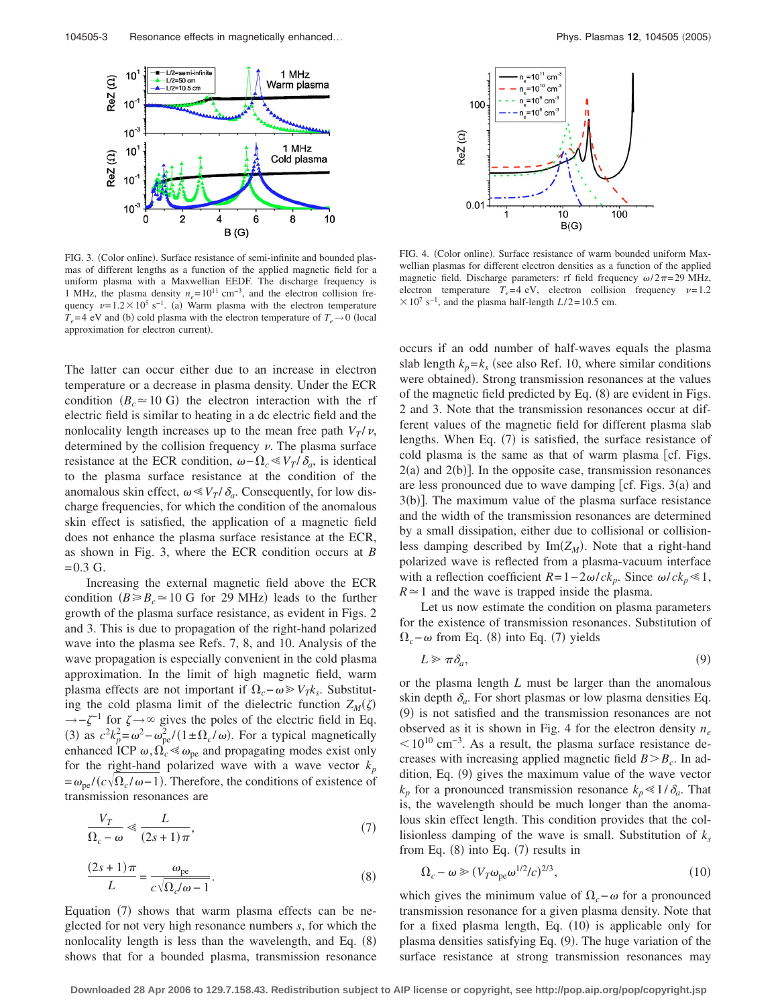

FIG. 3. (Color online). Surface resistance of semi-infinite and bounded plasmas of different lengths as a function of the applied magnetic field for a uniform plasma with a Maxwellian EEDF. The discharge frequency is 1 MHz, the plasma density  $n_e$ = 10<sup>11</sup> cm<sup>-3</sup>, and the electron collision frequency  $\nu = 1.2 \times 10^5 \text{ s}^{-1}$ . (a) Warm plasma with the electron temperature  $T_e$ =4 eV and (b) cold plasma with the electron temperature of  $T_e \rightarrow 0$  (local approximation for electron current).

The latter can occur either due to an increase in electron temperature or a decrease in plasma density. Under the ECR condition  $(B_c \approx 10 \text{ G})$  the electron interaction with the rf electric field is similar to heating in a dc electric field and the nonlocality length increases up to the mean free path  $V_T/v$ , determined by the collision frequency  $\nu$ . The plasma surface resistance at the ECR condition,  $\omega - \Omega_c \ll V_T / \delta_a$ , is identical to the plasma surface resistance at the condition of the anomalous skin effect,  $\omega \ll V_T / \delta_a$ . Consequently, for low discharge frequencies, for which the condition of the anomalous skin effect is satisfied, the application of a magnetic field does not enhance the plasma surface resistance at the ECR, as shown in Fig. 3, where the ECR condition occurs at *B*  $= 0.3$  G.

Increasing the external magnetic field above the ECR condition ( $B \ge B_c \approx 10$  G for 29 MHz) leads to the further growth of the plasma surface resistance, as evident in Figs. 2 and 3. This is due to propagation of the right-hand polarized wave into the plasma see Refs. 7, 8, and 10. Analysis of the wave propagation is especially convenient in the cold plasma approximation. In the limit of high magnetic field, warm plasma effects are not important if  $\Omega_c - \omega \ge V_T k_s$ . Substituting the cold plasma limit of the dielectric function  $Z_M(\zeta)$  $\rightarrow -\zeta^{-1}$  for  $\zeta \rightarrow \infty$  gives the poles of the electric field in Eq. (3) as  $c^2 k_p^2 = \omega^2 - \omega_{\text{pe}}^2 / (1 \pm \Omega_c / \omega)$ . For a typical magnetically enhanced ICP  $\omega$ ,  $\Omega_c \ll \omega_{pe}$  and propagating modes exist only for the right-hand polarized wave with a wave vector  $k_p$  $= \omega_{pe} / (c \sqrt{\Omega_c / \omega - 1})$ . Therefore, the conditions of existence of transmission resonances are

$$
\frac{V_T}{\Omega_c - \omega} \ll \frac{L}{(2s+1)\pi},\tag{7}
$$

$$
\frac{(2s+1)\pi}{L} = \frac{\omega_{\text{pe}}}{c\sqrt{\Omega_c/\omega - 1}}.\tag{8}
$$

Equation (7) shows that warm plasma effects can be neglected for not very high resonance numbers *s*, for which the nonlocality length is less than the wavelength, and Eq. (8) shows that for a bounded plasma, transmission resonance



FIG. 4. (Color online). Surface resistance of warm bounded uniform Maxwellian plasmas for different electron densities as a function of the applied magnetic field. Discharge parameters: rf field frequency  $\omega/2\pi$ =29 MHz, electron temperature  $T_e = 4$  eV, electron collision frequency  $\nu = 1.2$  $\times$  10<sup>7</sup> s<sup>-1</sup>, and the plasma half-length *L*/2=10.5 cm.

occurs if an odd number of half-waves equals the plasma slab length  $k_p = k_s$  (see also Ref. 10, where similar conditions were obtained). Strong transmission resonances at the values of the magnetic field predicted by Eq. (8) are evident in Figs. 2 and 3. Note that the transmission resonances occur at different values of the magnetic field for different plasma slab lengths. When Eq. (7) is satisfied, the surface resistance of cold plasma is the same as that of warm plasma  $[cf. Figs.$  $2(a)$  and  $2(b)$ ]. In the opposite case, transmission resonances are less pronounced due to wave damping [cf. Figs.  $3(a)$  and 3(b)]. The maximum value of the plasma surface resistance and the width of the transmission resonances are determined by a small dissipation, either due to collisional or collisionless damping described by  $\text{Im}(Z_M)$ . Note that a right-hand polarized wave is reflected from a plasma-vacuum interface with a reflection coefficient  $R=1-2\omega/ck_p$ . Since  $\omega/ck_p \le 1$ ,  $R \approx 1$  and the wave is trapped inside the plasma.

Let us now estimate the condition on plasma parameters for the existence of transmission resonances. Substitution of  $\Omega_c$ −  $\omega$  from Eq. (8) into Eq. (7) yields

$$
L \geqslant \pi \delta_a,\tag{9}
$$

or the plasma length *L* must be larger than the anomalous skin depth  $\delta_a$ . For short plasmas or low plasma densities Eq. (9) is not satisfied and the transmission resonances are not observed as it is shown in Fig. 4 for the electron density  $n_e$  $10^{10}$  cm<sup>-3</sup>. As a result, the plasma surface resistance decreases with increasing applied magnetic field  $B > B_c$ . In addition, Eq. (9) gives the maximum value of the wave vector  $k_p$  for a pronounced transmission resonance  $k_p \leq 1/\delta_a$ . That is, the wavelength should be much longer than the anomalous skin effect length. This condition provides that the collisionless damping of the wave is small. Substitution of  $k_s$ from Eq.  $(8)$  into Eq.  $(7)$  results in

$$
\Omega_c - \omega \ge (V_T \omega_{\rm pe} \omega^{1/2} / c)^{2/3},\tag{10}
$$

which gives the minimum value of  $\Omega_c$ − $\omega$  for a pronounced transmission resonance for a given plasma density. Note that for a fixed plasma length, Eq. (10) is applicable only for plasma densities satisfying Eq. (9). The huge variation of the surface resistance at strong transmission resonances may

**Downloaded 28 Apr 2006 to 129.7.158.43. Redistribution subject to AIP license or copyright, see http://pop.aip.org/pop/copyright.jsp**